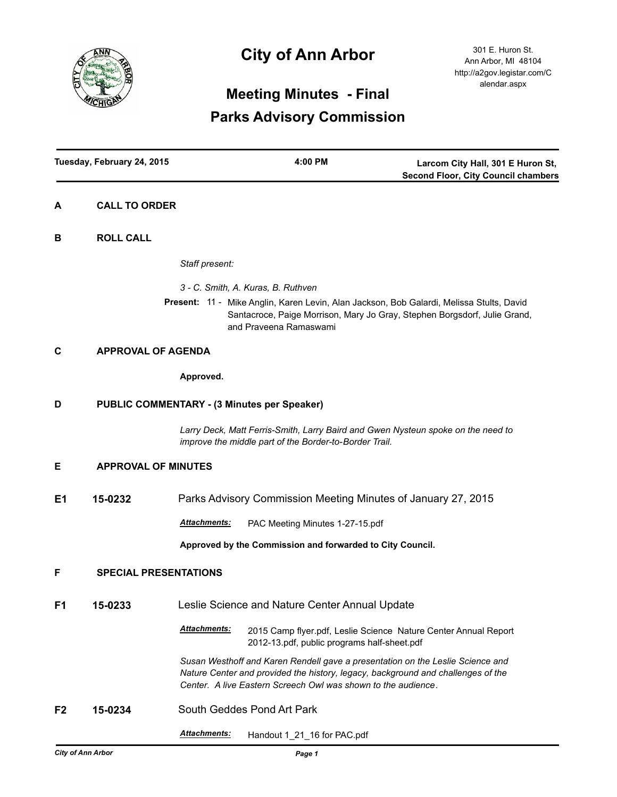

# **City of Ann Arbor**

# **Meeting Minutes - Final Parks Advisory Commission**

| Tuesday, February 24, 2015 |                                                    |                                                                                                                                                                                                                                     | 4:00 PM                                                                                                                                    | Larcom City Hall, 301 E Huron St,<br><b>Second Floor, City Council chambers</b> |
|----------------------------|----------------------------------------------------|-------------------------------------------------------------------------------------------------------------------------------------------------------------------------------------------------------------------------------------|--------------------------------------------------------------------------------------------------------------------------------------------|---------------------------------------------------------------------------------|
| Α                          | <b>CALL TO ORDER</b>                               |                                                                                                                                                                                                                                     |                                                                                                                                            |                                                                                 |
| в                          | <b>ROLL CALL</b>                                   |                                                                                                                                                                                                                                     |                                                                                                                                            |                                                                                 |
|                            |                                                    | Staff present:                                                                                                                                                                                                                      |                                                                                                                                            |                                                                                 |
|                            |                                                    |                                                                                                                                                                                                                                     | 3 - C. Smith, A. Kuras, B. Ruthven                                                                                                         |                                                                                 |
|                            |                                                    |                                                                                                                                                                                                                                     | Present: 11 - Mike Anglin, Karen Levin, Alan Jackson, Bob Galardi, Melissa Stults, David<br>and Praveena Ramaswami                         | Santacroce, Paige Morrison, Mary Jo Gray, Stephen Borgsdorf, Julie Grand,       |
| C                          | <b>APPROVAL OF AGENDA</b>                          |                                                                                                                                                                                                                                     |                                                                                                                                            |                                                                                 |
|                            |                                                    | Approved.                                                                                                                                                                                                                           |                                                                                                                                            |                                                                                 |
| D                          | <b>PUBLIC COMMENTARY - (3 Minutes per Speaker)</b> |                                                                                                                                                                                                                                     |                                                                                                                                            |                                                                                 |
|                            |                                                    |                                                                                                                                                                                                                                     | Larry Deck, Matt Ferris-Smith, Larry Baird and Gwen Nysteun spoke on the need to<br>improve the middle part of the Border-to-Border Trail. |                                                                                 |
| Е                          | <b>APPROVAL OF MINUTES</b>                         |                                                                                                                                                                                                                                     |                                                                                                                                            |                                                                                 |
| E1                         | 15-0232                                            |                                                                                                                                                                                                                                     | Parks Advisory Commission Meeting Minutes of January 27, 2015                                                                              |                                                                                 |
|                            |                                                    | <b>Attachments:</b>                                                                                                                                                                                                                 | PAC Meeting Minutes 1-27-15.pdf                                                                                                            |                                                                                 |
|                            |                                                    |                                                                                                                                                                                                                                     | Approved by the Commission and forwarded to City Council.                                                                                  |                                                                                 |
| F                          | <b>SPECIAL PRESENTATIONS</b>                       |                                                                                                                                                                                                                                     |                                                                                                                                            |                                                                                 |
| F <sub>1</sub>             | 15-0233                                            |                                                                                                                                                                                                                                     | Leslie Science and Nature Center Annual Update                                                                                             |                                                                                 |
|                            |                                                    | Attachments:                                                                                                                                                                                                                        | 2015 Camp flyer.pdf, Leslie Science Nature Center Annual Report<br>2012-13.pdf, public programs half-sheet.pdf                             |                                                                                 |
|                            |                                                    | Susan Westhoff and Karen Rendell gave a presentation on the Leslie Science and<br>Nature Center and provided the history, legacy, background and challenges of the<br>Center. A live Eastern Screech Owl was shown to the audience. |                                                                                                                                            |                                                                                 |
| F2                         | 15-0234                                            | South Geddes Pond Art Park                                                                                                                                                                                                          |                                                                                                                                            |                                                                                 |
|                            |                                                    | Attachments:                                                                                                                                                                                                                        | Handout 1_21_16 for PAC.pdf                                                                                                                |                                                                                 |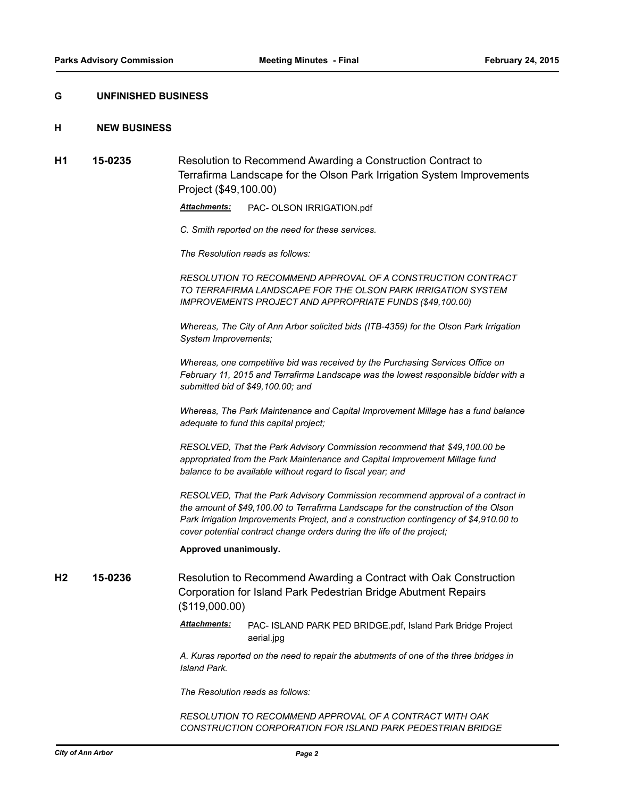### **G UNFINISHED BUSINESS**

### **H NEW BUSINESS**

**H1 15-0235** Resolution to Recommend Awarding a Construction Contract to Terrafirma Landscape for the Olson Park Irrigation System Improvements Project (\$49,100.00)

*Attachments:* PAC- OLSON IRRIGATION.pdf

*C. Smith reported on the need for these services.*

*The Resolution reads as follows:*

*RESOLUTION TO RECOMMEND APPROVAL OF A CONSTRUCTION CONTRACT TO TERRAFIRMA LANDSCAPE FOR THE OLSON PARK IRRIGATION SYSTEM IMPROVEMENTS PROJECT AND APPROPRIATE FUNDS (\$49,100.00)*

*Whereas, The City of Ann Arbor solicited bids (ITB-4359) for the Olson Park Irrigation System Improvements;*

*Whereas, one competitive bid was received by the Purchasing Services Office on February 11, 2015 and Terrafirma Landscape was the lowest responsible bidder with a submitted bid of \$49,100.00; and*

*Whereas, The Park Maintenance and Capital Improvement Millage has a fund balance adequate to fund this capital project;* 

*RESOLVED, That the Park Advisory Commission recommend that \$49,100.00 be appropriated from the Park Maintenance and Capital Improvement Millage fund balance to be available without regard to fiscal year; and*

*RESOLVED, That the Park Advisory Commission recommend approval of a contract in the amount of \$49,100.00 to Terrafirma Landscape for the construction of the Olson Park Irrigation Improvements Project, and a construction contingency of \$4,910.00 to cover potential contract change orders during the life of the project;*

#### **Approved unanimously.**

**H2 15-0236** Resolution to Recommend Awarding a Contract with Oak Construction Corporation for Island Park Pedestrian Bridge Abutment Repairs (\$119,000.00)

> *Attachments:* PAC- ISLAND PARK PED BRIDGE.pdf, Island Park Bridge Project aerial.jpg

> *A. Kuras reported on the need to repair the abutments of one of the three bridges in Island Park.*

*The Resolution reads as follows:*

*RESOLUTION TO RECOMMEND APPROVAL OF A CONTRACT WITH OAK CONSTRUCTION CORPORATION FOR ISLAND PARK PEDESTRIAN BRIDGE*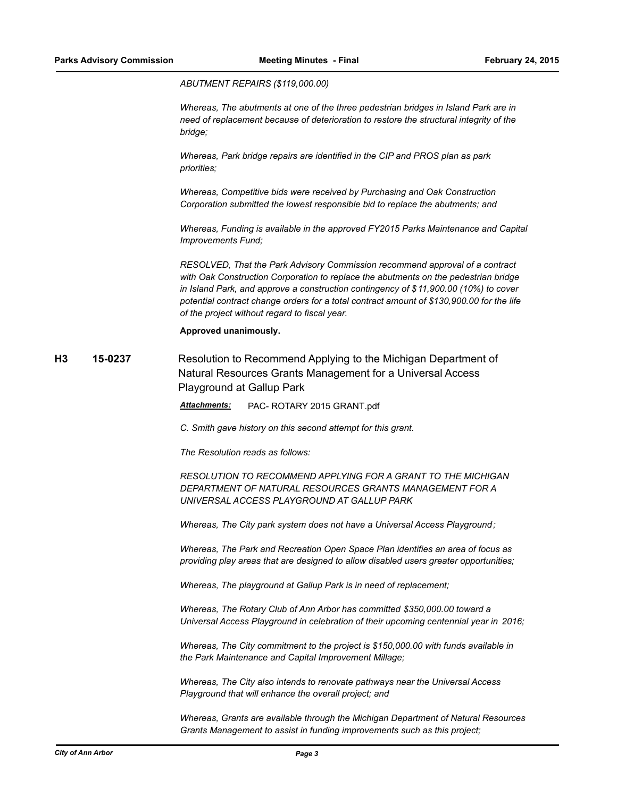#### *ABUTMENT REPAIRS (\$119,000.00)*

*Whereas, The abutments at one of the three pedestrian bridges in Island Park are in need of replacement because of deterioration to restore the structural integrity of the bridge;*

*Whereas, Park bridge repairs are identified in the CIP and PROS plan as park priorities;*

*Whereas, Competitive bids were received by Purchasing and Oak Construction Corporation submitted the lowest responsible bid to replace the abutments; and*

*Whereas, Funding is available in the approved FY2015 Parks Maintenance and Capital Improvements Fund;*

*RESOLVED, That the Park Advisory Commission recommend approval of a contract with Oak Construction Corporation to replace the abutments on the pedestrian bridge in Island Park, and approve a construction contingency of \$11,900.00 (10%) to cover potential contract change orders for a total contract amount of \$130,900.00 for the life of the project without regard to fiscal year.*

**Approved unanimously.**

**H3 15-0237** Resolution to Recommend Applying to the Michigan Department of Natural Resources Grants Management for a Universal Access Playground at Gallup Park

*Attachments:* PAC- ROTARY 2015 GRANT.pdf

*C. Smith gave history on this second attempt for this grant.*

*The Resolution reads as follows:*

*RESOLUTION TO RECOMMEND APPLYING FOR A GRANT TO THE MICHIGAN DEPARTMENT OF NATURAL RESOURCES GRANTS MANAGEMENT FOR A UNIVERSAL ACCESS PLAYGROUND AT GALLUP PARK*

*Whereas, The City park system does not have a Universal Access Playground;*

*Whereas, The Park and Recreation Open Space Plan identifies an area of focus as providing play areas that are designed to allow disabled users greater opportunities;*

*Whereas, The playground at Gallup Park is in need of replacement;*

*Whereas, The Rotary Club of Ann Arbor has committed \$350,000.00 toward a Universal Access Playground in celebration of their upcoming centennial year in 2016;*

*Whereas, The City commitment to the project is \$150,000.00 with funds available in the Park Maintenance and Capital Improvement Millage;*

*Whereas, The City also intends to renovate pathways near the Universal Access Playground that will enhance the overall project; and*

*Whereas, Grants are available through the Michigan Department of Natural Resources Grants Management to assist in funding improvements such as this project;*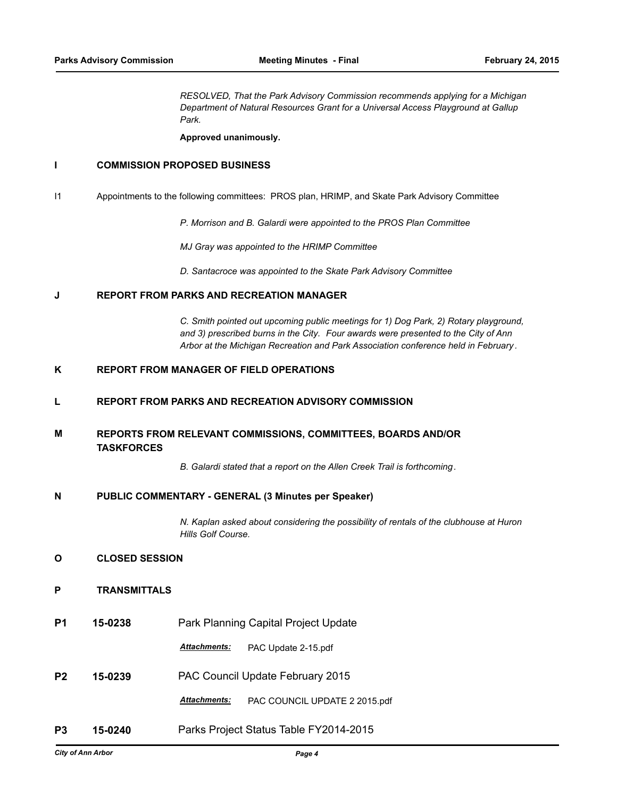*RESOLVED, That the Park Advisory Commission recommends applying for a Michigan Department of Natural Resources Grant for a Universal Access Playground at Gallup Park.*

**Approved unanimously.**

# **I COMMISSION PROPOSED BUSINESS**

I1 Appointments to the following committees: PROS plan, HRIMP, and Skate Park Advisory Committee

*P. Morrison and B. Galardi were appointed to the PROS Plan Committee*

*MJ Gray was appointed to the HRIMP Committee*

*D. Santacroce was appointed to the Skate Park Advisory Committee*

## **J REPORT FROM PARKS AND RECREATION MANAGER**

*C. Smith pointed out upcoming public meetings for 1) Dog Park, 2) Rotary playground, and 3) prescribed burns in the City. Four awards were presented to the City of Ann Arbor at the Michigan Recreation and Park Association conference held in February .*

# **K REPORT FROM MANAGER OF FIELD OPERATIONS**

### **L REPORT FROM PARKS AND RECREATION ADVISORY COMMISSION**

#### **REPORTS FROM RELEVANT COMMISSIONS, COMMITTEES, BOARDS AND/OR TASKFORCES M**

*B. Galardi stated that a report on the Allen Creek Trail is forthcoming.*

#### **N PUBLIC COMMENTARY - GENERAL (3 Minutes per Speaker)**

*N. Kaplan asked about considering the possibility of rentals of the clubhouse at Huron Hills Golf Course.*

# **O CLOSED SESSION**

# **P TRANSMITTALS**

**P1 15-0238** Park Planning Capital Project Update

*Attachments:* PAC Update 2-15.pdf

**P2 15-0239** PAC Council Update February 2015

*Attachments:* PAC COUNCIL UPDATE 2 2015.pdf

**P3 15-0240** Parks Project Status Table FY2014-2015